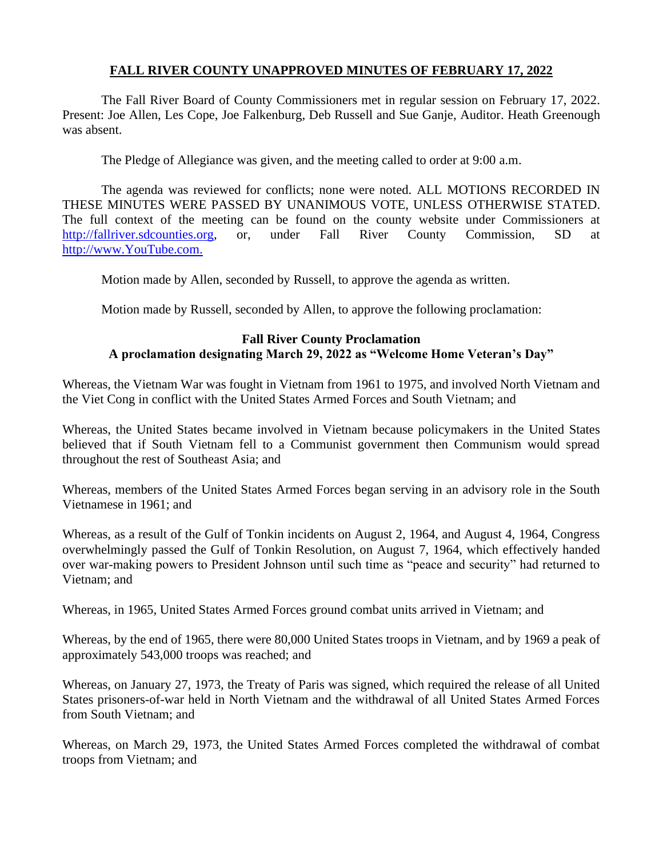# **FALL RIVER COUNTY UNAPPROVED MINUTES OF FEBRUARY 17, 2022**

The Fall River Board of County Commissioners met in regular session on February 17, 2022. Present: Joe Allen, Les Cope, Joe Falkenburg, Deb Russell and Sue Ganje, Auditor. Heath Greenough was absent.

The Pledge of Allegiance was given, and the meeting called to order at 9:00 a.m.

The agenda was reviewed for conflicts; none were noted. ALL MOTIONS RECORDED IN THESE MINUTES WERE PASSED BY UNANIMOUS VOTE, UNLESS OTHERWISE STATED. The full context of the meeting can be found on the county website under Commissioners at [http://fallriver.sdcounties.org,](http://fallriver.sdcounties.org/) or, under Fall River County Commission, SD at [http://www.YouTube.com.](http://www.youtube.com/)

Motion made by Allen, seconded by Russell, to approve the agenda as written.

Motion made by Russell, seconded by Allen, to approve the following proclamation:

# **Fall River County Proclamation A proclamation designating March 29, 2022 as "Welcome Home Veteran's Day"**

Whereas, the Vietnam War was fought in Vietnam from 1961 to 1975, and involved North Vietnam and the Viet Cong in conflict with the United States Armed Forces and South Vietnam; and

Whereas, the United States became involved in Vietnam because policymakers in the United States believed that if South Vietnam fell to a Communist government then Communism would spread throughout the rest of Southeast Asia; and

Whereas, members of the United States Armed Forces began serving in an advisory role in the South Vietnamese in 1961; and

Whereas, as a result of the Gulf of Tonkin incidents on August 2, 1964, and August 4, 1964, Congress overwhelmingly passed the Gulf of Tonkin Resolution, on August 7, 1964, which effectively handed over war-making powers to President Johnson until such time as "peace and security" had returned to Vietnam; and

Whereas, in 1965, United States Armed Forces ground combat units arrived in Vietnam; and

Whereas, by the end of 1965, there were 80,000 United States troops in Vietnam, and by 1969 a peak of approximately 543,000 troops was reached; and

Whereas, on January 27, 1973, the Treaty of Paris was signed, which required the release of all United States prisoners-of-war held in North Vietnam and the withdrawal of all United States Armed Forces from South Vietnam; and

Whereas, on March 29, 1973, the United States Armed Forces completed the withdrawal of combat troops from Vietnam; and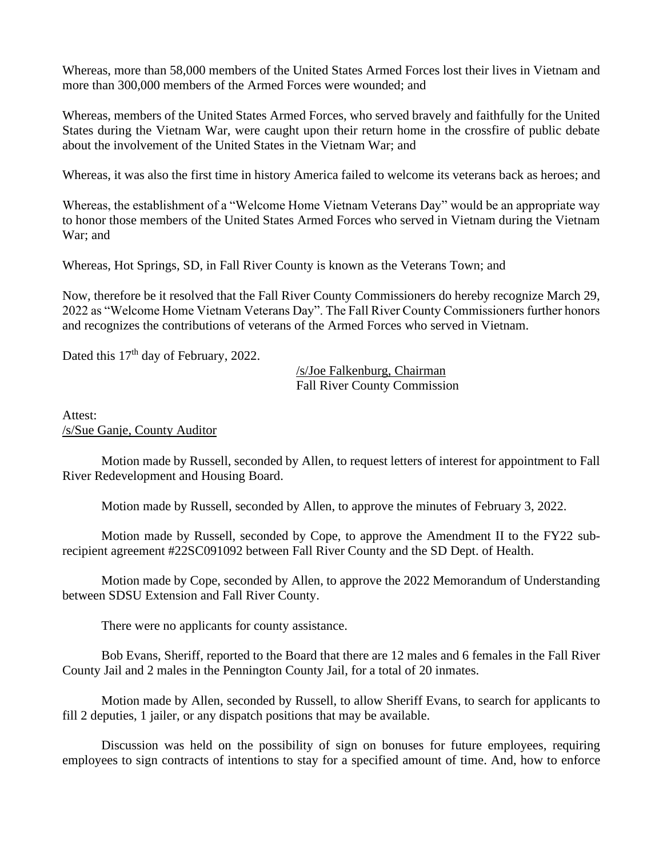Whereas, more than 58,000 members of the United States Armed Forces lost their lives in Vietnam and more than 300,000 members of the Armed Forces were wounded; and

Whereas, members of the United States Armed Forces, who served bravely and faithfully for the United States during the Vietnam War, were caught upon their return home in the crossfire of public debate about the involvement of the United States in the Vietnam War; and

Whereas, it was also the first time in history America failed to welcome its veterans back as heroes; and

Whereas, the establishment of a "Welcome Home Vietnam Veterans Day" would be an appropriate way to honor those members of the United States Armed Forces who served in Vietnam during the Vietnam War; and

Whereas, Hot Springs, SD, in Fall River County is known as the Veterans Town; and

Now, therefore be it resolved that the Fall River County Commissioners do hereby recognize March 29, 2022 as "Welcome Home Vietnam Veterans Day". The Fall River County Commissioners further honors and recognizes the contributions of veterans of the Armed Forces who served in Vietnam.

Dated this 17<sup>th</sup> day of February, 2022.

/s/Joe Falkenburg, Chairman Fall River County Commission

Attest: /s/Sue Ganje, County Auditor

Motion made by Russell, seconded by Allen, to request letters of interest for appointment to Fall River Redevelopment and Housing Board.

Motion made by Russell, seconded by Allen, to approve the minutes of February 3, 2022.

Motion made by Russell, seconded by Cope, to approve the Amendment II to the FY22 subrecipient agreement #22SC091092 between Fall River County and the SD Dept. of Health.

Motion made by Cope, seconded by Allen, to approve the 2022 Memorandum of Understanding between SDSU Extension and Fall River County.

There were no applicants for county assistance.

Bob Evans, Sheriff, reported to the Board that there are 12 males and 6 females in the Fall River County Jail and 2 males in the Pennington County Jail, for a total of 20 inmates.

Motion made by Allen, seconded by Russell, to allow Sheriff Evans, to search for applicants to fill 2 deputies, 1 jailer, or any dispatch positions that may be available.

Discussion was held on the possibility of sign on bonuses for future employees, requiring employees to sign contracts of intentions to stay for a specified amount of time. And, how to enforce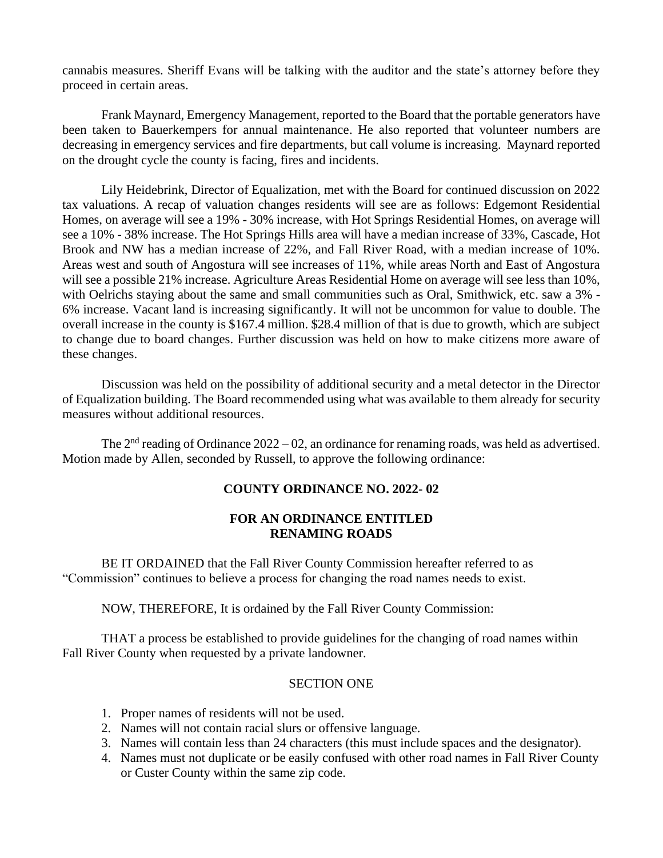cannabis measures. Sheriff Evans will be talking with the auditor and the state's attorney before they proceed in certain areas.

Frank Maynard, Emergency Management, reported to the Board that the portable generators have been taken to Bauerkempers for annual maintenance. He also reported that volunteer numbers are decreasing in emergency services and fire departments, but call volume is increasing. Maynard reported on the drought cycle the county is facing, fires and incidents.

Lily Heidebrink, Director of Equalization, met with the Board for continued discussion on 2022 tax valuations. A recap of valuation changes residents will see are as follows: Edgemont Residential Homes, on average will see a 19% - 30% increase, with Hot Springs Residential Homes, on average will see a 10% - 38% increase. The Hot Springs Hills area will have a median increase of 33%, Cascade, Hot Brook and NW has a median increase of 22%, and Fall River Road, with a median increase of 10%. Areas west and south of Angostura will see increases of 11%, while areas North and East of Angostura will see a possible 21% increase. Agriculture Areas Residential Home on average will see less than 10%, with Oelrichs staying about the same and small communities such as Oral, Smithwick, etc. saw a 3% -6% increase. Vacant land is increasing significantly. It will not be uncommon for value to double. The overall increase in the county is \$167.4 million. \$28.4 million of that is due to growth, which are subject to change due to board changes. Further discussion was held on how to make citizens more aware of these changes.

Discussion was held on the possibility of additional security and a metal detector in the Director of Equalization building. The Board recommended using what was available to them already for security measures without additional resources.

The  $2<sup>nd</sup>$  reading of Ordinance 2022 – 02, an ordinance for renaming roads, was held as advertised. Motion made by Allen, seconded by Russell, to approve the following ordinance:

# **COUNTY ORDINANCE NO. 2022- 02**

#### **FOR AN ORDINANCE ENTITLED RENAMING ROADS**

BE IT ORDAINED that the Fall River County Commission hereafter referred to as "Commission" continues to believe a process for changing the road names needs to exist.

NOW, THEREFORE, It is ordained by the Fall River County Commission:

THAT a process be established to provide guidelines for the changing of road names within Fall River County when requested by a private landowner.

#### SECTION ONE

- 1. Proper names of residents will not be used.
- 2. Names will not contain racial slurs or offensive language.
- 3. Names will contain less than 24 characters (this must include spaces and the designator).
- 4. Names must not duplicate or be easily confused with other road names in Fall River County or Custer County within the same zip code.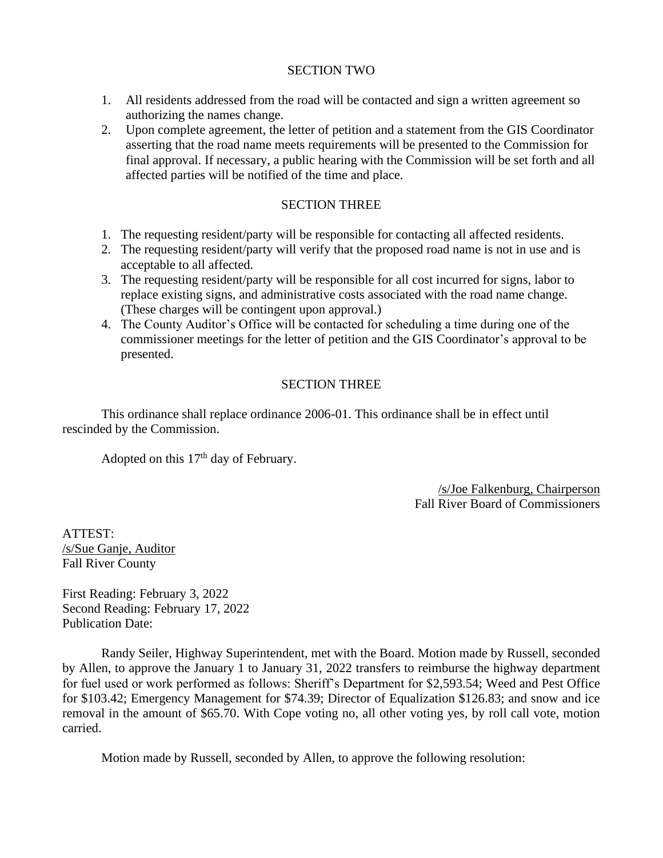### SECTION TWO

- 1. All residents addressed from the road will be contacted and sign a written agreement so authorizing the names change.
- 2. Upon complete agreement, the letter of petition and a statement from the GIS Coordinator asserting that the road name meets requirements will be presented to the Commission for final approval. If necessary, a public hearing with the Commission will be set forth and all affected parties will be notified of the time and place.

# SECTION THREE

- 1. The requesting resident/party will be responsible for contacting all affected residents.
- 2. The requesting resident/party will verify that the proposed road name is not in use and is acceptable to all affected.
- 3. The requesting resident/party will be responsible for all cost incurred for signs, labor to replace existing signs, and administrative costs associated with the road name change. (These charges will be contingent upon approval.)
- 4. The County Auditor's Office will be contacted for scheduling a time during one of the commissioner meetings for the letter of petition and the GIS Coordinator's approval to be presented.

# SECTION THREE

This ordinance shall replace ordinance 2006-01. This ordinance shall be in effect until rescinded by the Commission.

Adopted on this  $17<sup>th</sup>$  day of February.

/s/Joe Falkenburg, Chairperson Fall River Board of Commissioners

ATTEST: /s/Sue Ganje, Auditor Fall River County

First Reading: February 3, 2022 Second Reading: February 17, 2022 Publication Date:

Randy Seiler, Highway Superintendent, met with the Board. Motion made by Russell, seconded by Allen, to approve the January 1 to January 31, 2022 transfers to reimburse the highway department for fuel used or work performed as follows: Sheriff's Department for \$2,593.54; Weed and Pest Office for \$103.42; Emergency Management for \$74.39; Director of Equalization \$126.83; and snow and ice removal in the amount of \$65.70. With Cope voting no, all other voting yes, by roll call vote, motion carried.

Motion made by Russell, seconded by Allen, to approve the following resolution: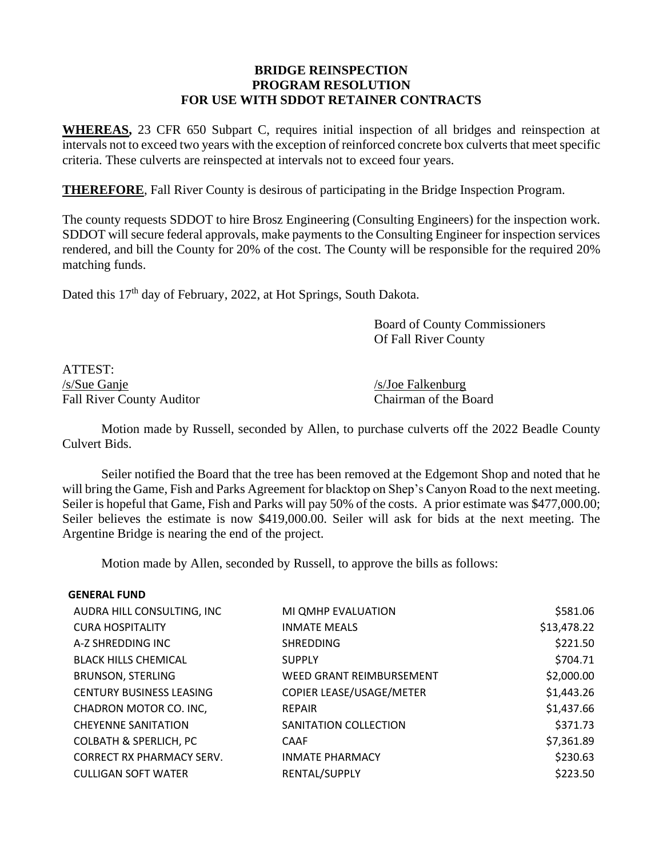# **BRIDGE REINSPECTION PROGRAM RESOLUTION FOR USE WITH SDDOT RETAINER CONTRACTS**

**WHEREAS,** 23 CFR 650 Subpart C, requires initial inspection of all bridges and reinspection at intervals not to exceed two years with the exception of reinforced concrete box culverts that meet specific criteria. These culverts are reinspected at intervals not to exceed four years.

**THEREFORE**, Fall River County is desirous of participating in the Bridge Inspection Program.

The county requests SDDOT to hire Brosz Engineering (Consulting Engineers) for the inspection work. SDDOT will secure federal approvals, make payments to the Consulting Engineer for inspection services rendered, and bill the County for 20% of the cost. The County will be responsible for the required 20% matching funds.

Dated this 17<sup>th</sup> day of February, 2022, at Hot Springs, South Dakota.

Board of County Commissioners Of Fall River County

ATTEST: /s/Sue Ganje /s/Joe Falkenburg Fall River County Auditor Chairman of the Board

Motion made by Russell, seconded by Allen, to purchase culverts off the 2022 Beadle County Culvert Bids.

Seiler notified the Board that the tree has been removed at the Edgemont Shop and noted that he will bring the Game, Fish and Parks Agreement for blacktop on Shep's Canyon Road to the next meeting. Seiler is hopeful that Game, Fish and Parks will pay 50% of the costs. A prior estimate was \$477,000.00; Seiler believes the estimate is now \$419,000.00. Seiler will ask for bids at the next meeting. The Argentine Bridge is nearing the end of the project.

Motion made by Allen, seconded by Russell, to approve the bills as follows:

| <b>GENERAL FUND</b> |  |
|---------------------|--|
|---------------------|--|

| AUDRA HILL CONSULTING, INC        | MI QMHP EVALUATION              | \$581.06    |
|-----------------------------------|---------------------------------|-------------|
| <b>CURA HOSPITALITY</b>           | <b>INMATE MEALS</b>             | \$13,478.22 |
| A-Z SHREDDING INC                 | <b>SHREDDING</b>                | \$221.50    |
| <b>BLACK HILLS CHEMICAL</b>       | <b>SUPPLY</b>                   | \$704.71    |
| <b>BRUNSON, STERLING</b>          | <b>WEED GRANT REIMBURSEMENT</b> | \$2,000.00  |
| <b>CENTURY BUSINESS LEASING</b>   | COPIER LEASE/USAGE/METER        | \$1,443.26  |
| CHADRON MOTOR CO. INC,            | <b>REPAIR</b>                   | \$1,437.66  |
| <b>CHEYENNE SANITATION</b>        | SANITATION COLLECTION           | \$371.73    |
| <b>COLBATH &amp; SPERLICH, PC</b> | <b>CAAF</b>                     | \$7,361.89  |
| <b>CORRECT RX PHARMACY SERV.</b>  | <b>INMATE PHARMACY</b>          | \$230.63    |
| <b>CULLIGAN SOFT WATER</b>        | RENTAL/SUPPLY                   | \$223.50    |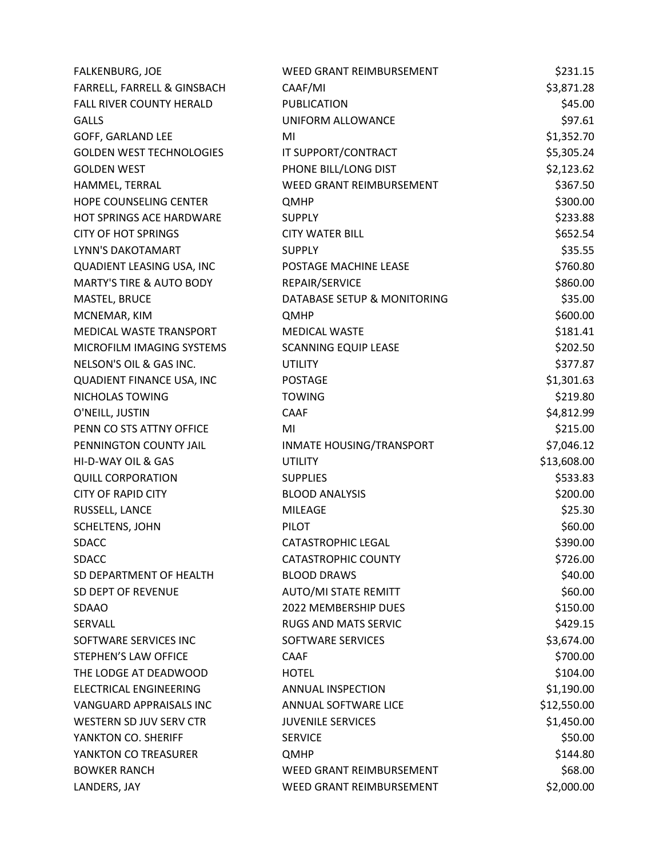| FALKENBURG, JOE                     | WEED GRANT REIMBURSEMENT        | \$231.15    |
|-------------------------------------|---------------------------------|-------------|
| FARRELL, FARRELL & GINSBACH         | CAAF/MI                         | \$3,871.28  |
| FALL RIVER COUNTY HERALD            | PUBLICATION                     | \$45.00     |
| <b>GALLS</b>                        | UNIFORM ALLOWANCE               | \$97.61     |
| GOFF, GARLAND LEE                   | MI                              | \$1,352.70  |
| <b>GOLDEN WEST TECHNOLOGIES</b>     | IT SUPPORT/CONTRACT             | \$5,305.24  |
| <b>GOLDEN WEST</b>                  | PHONE BILL/LONG DIST            | \$2,123.62  |
| HAMMEL, TERRAL                      | <b>WEED GRANT REIMBURSEMENT</b> | \$367.50    |
| HOPE COUNSELING CENTER              | <b>QMHP</b>                     | \$300.00    |
| HOT SPRINGS ACE HARDWARE            | <b>SUPPLY</b>                   | \$233.88    |
| <b>CITY OF HOT SPRINGS</b>          | <b>CITY WATER BILL</b>          | \$652.54    |
| LYNN'S DAKOTAMART                   | <b>SUPPLY</b>                   | \$35.55     |
| QUADIENT LEASING USA, INC           | POSTAGE MACHINE LEASE           | \$760.80    |
| <b>MARTY'S TIRE &amp; AUTO BODY</b> | REPAIR/SERVICE                  | \$860.00    |
| MASTEL, BRUCE                       | DATABASE SETUP & MONITORING     | \$35.00     |
| MCNEMAR, KIM                        | <b>QMHP</b>                     | \$600.00    |
| MEDICAL WASTE TRANSPORT             | <b>MEDICAL WASTE</b>            | \$181.41    |
| MICROFILM IMAGING SYSTEMS           | <b>SCANNING EQUIP LEASE</b>     | \$202.50    |
| NELSON'S OIL & GAS INC.             | <b>UTILITY</b>                  | \$377.87    |
| <b>QUADIENT FINANCE USA, INC</b>    | <b>POSTAGE</b>                  | \$1,301.63  |
| NICHOLAS TOWING                     | <b>TOWING</b>                   | \$219.80    |
| O'NEILL, JUSTIN                     | CAAF                            | \$4,812.99  |
| PENN CO STS ATTNY OFFICE            | MI                              | \$215.00    |
| PENNINGTON COUNTY JAIL              | INMATE HOUSING/TRANSPORT        | \$7,046.12  |
| HI-D-WAY OIL & GAS                  | <b>UTILITY</b>                  | \$13,608.00 |
| <b>QUILL CORPORATION</b>            | <b>SUPPLIES</b>                 | \$533.83    |
| <b>CITY OF RAPID CITY</b>           | <b>BLOOD ANALYSIS</b>           | \$200.00    |
| RUSSELL, LANCE                      | <b>MILEAGE</b>                  | \$25.30     |
| SCHELTENS, JOHN                     | <b>PILOT</b>                    | \$60.00     |
| <b>SDACC</b>                        | <b>CATASTROPHIC LEGAL</b>       | \$390.00    |
| <b>SDACC</b>                        | <b>CATASTROPHIC COUNTY</b>      | \$726.00    |
| SD DEPARTMENT OF HEALTH             | <b>BLOOD DRAWS</b>              | \$40.00     |
| SD DEPT OF REVENUE                  | <b>AUTO/MI STATE REMITT</b>     | \$60.00     |
| <b>SDAAO</b>                        | 2022 MEMBERSHIP DUES            | \$150.00    |
| SERVALL                             | <b>RUGS AND MATS SERVIC</b>     | \$429.15    |
| SOFTWARE SERVICES INC               | SOFTWARE SERVICES               | \$3,674.00  |
| STEPHEN'S LAW OFFICE                | <b>CAAF</b>                     | \$700.00    |
| THE LODGE AT DEADWOOD               | <b>HOTEL</b>                    | \$104.00    |
| ELECTRICAL ENGINEERING              | ANNUAL INSPECTION               | \$1,190.00  |
| VANGUARD APPRAISALS INC             | ANNUAL SOFTWARE LICE            | \$12,550.00 |
| WESTERN SD JUV SERV CTR             | <b>JUVENILE SERVICES</b>        | \$1,450.00  |
| YANKTON CO. SHERIFF                 | <b>SERVICE</b>                  | \$50.00     |
| YANKTON CO TREASURER                | QMHP                            | \$144.80    |
| <b>BOWKER RANCH</b>                 | WEED GRANT REIMBURSEMENT        | \$68.00     |
| LANDERS, JAY                        | WEED GRANT REIMBURSEMENT        | \$2,000.00  |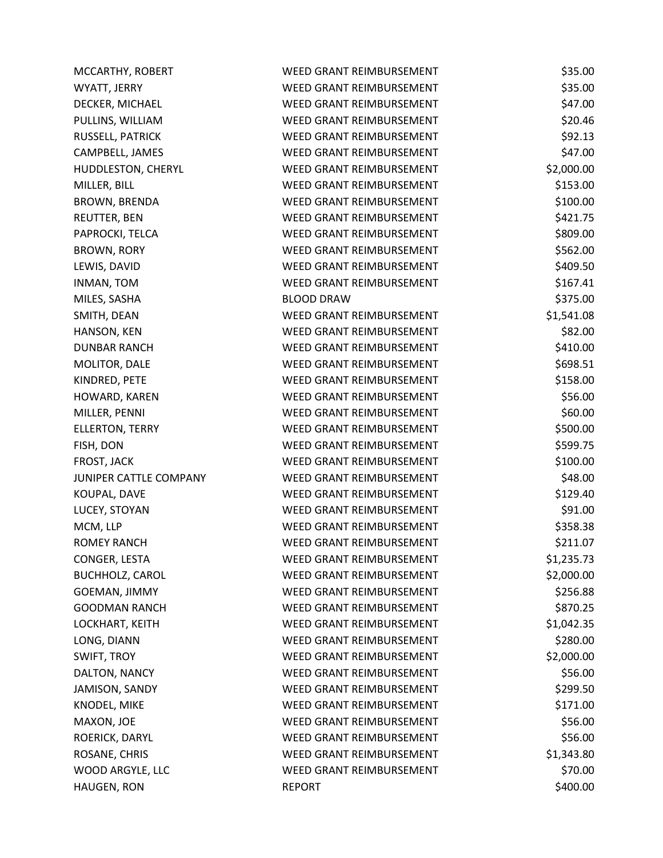| MCCARTHY, ROBERT       | <b>WEED GRANT REIMBURSEMENT</b> | \$35.00    |
|------------------------|---------------------------------|------------|
| WYATT, JERRY           | WEED GRANT REIMBURSEMENT        | \$35.00    |
| DECKER, MICHAEL        | WEED GRANT REIMBURSEMENT        | \$47.00    |
| PULLINS, WILLIAM       | WEED GRANT REIMBURSEMENT        | \$20.46    |
| RUSSELL, PATRICK       | WEED GRANT REIMBURSEMENT        | \$92.13    |
| CAMPBELL, JAMES        | WEED GRANT REIMBURSEMENT        | \$47.00    |
| HUDDLESTON, CHERYL     | WEED GRANT REIMBURSEMENT        | \$2,000.00 |
| MILLER, BILL           | WEED GRANT REIMBURSEMENT        | \$153.00   |
| <b>BROWN, BRENDA</b>   | WEED GRANT REIMBURSEMENT        | \$100.00   |
| <b>REUTTER, BEN</b>    | <b>WEED GRANT REIMBURSEMENT</b> | \$421.75   |
| PAPROCKI, TELCA        | WEED GRANT REIMBURSEMENT        | \$809.00   |
| <b>BROWN, RORY</b>     | WEED GRANT REIMBURSEMENT        | \$562.00   |
| LEWIS, DAVID           | WEED GRANT REIMBURSEMENT        | \$409.50   |
| INMAN, TOM             | WEED GRANT REIMBURSEMENT        | \$167.41   |
| MILES, SASHA           | <b>BLOOD DRAW</b>               | \$375.00   |
| SMITH, DEAN            | WEED GRANT REIMBURSEMENT        | \$1,541.08 |
| HANSON, KEN            | WEED GRANT REIMBURSEMENT        | \$82.00    |
| <b>DUNBAR RANCH</b>    | WEED GRANT REIMBURSEMENT        | \$410.00   |
| MOLITOR, DALE          | WEED GRANT REIMBURSEMENT        | \$698.51   |
| KINDRED, PETE          | <b>WEED GRANT REIMBURSEMENT</b> | \$158.00   |
| HOWARD, KAREN          | WEED GRANT REIMBURSEMENT        | \$56.00    |
| MILLER, PENNI          | WEED GRANT REIMBURSEMENT        | \$60.00    |
| ELLERTON, TERRY        | WEED GRANT REIMBURSEMENT        | \$500.00   |
| FISH, DON              | WEED GRANT REIMBURSEMENT        | \$599.75   |
| FROST, JACK            | WEED GRANT REIMBURSEMENT        | \$100.00   |
| JUNIPER CATTLE COMPANY | WEED GRANT REIMBURSEMENT        | \$48.00    |
| KOUPAL, DAVE           | WEED GRANT REIMBURSEMENT        | \$129.40   |
| LUCEY, STOYAN          | WEED GRANT REIMBURSEMENT        | \$91.00    |
| MCM, LLP               | WEED GRANT REIMBURSEMENT        | \$358.38   |
| <b>ROMEY RANCH</b>     | WEED GRANT REIMBURSEMENT        | \$211.07   |
| CONGER, LESTA          | WEED GRANT REIMBURSEMENT        | \$1,235.73 |
| <b>BUCHHOLZ, CAROL</b> | WEED GRANT REIMBURSEMENT        | \$2,000.00 |
| GOEMAN, JIMMY          | WEED GRANT REIMBURSEMENT        | \$256.88   |
| <b>GOODMAN RANCH</b>   | WEED GRANT REIMBURSEMENT        | \$870.25   |
| LOCKHART, KEITH        | WEED GRANT REIMBURSEMENT        | \$1,042.35 |
| LONG, DIANN            | <b>WEED GRANT REIMBURSEMENT</b> | \$280.00   |
| SWIFT, TROY            | WEED GRANT REIMBURSEMENT        | \$2,000.00 |
| DALTON, NANCY          | WEED GRANT REIMBURSEMENT        | \$56.00    |
| JAMISON, SANDY         | WEED GRANT REIMBURSEMENT        | \$299.50   |
| KNODEL, MIKE           | WEED GRANT REIMBURSEMENT        | \$171.00   |
| MAXON, JOE             | WEED GRANT REIMBURSEMENT        | \$56.00    |
| ROERICK, DARYL         | WEED GRANT REIMBURSEMENT        | \$56.00    |
| ROSANE, CHRIS          | WEED GRANT REIMBURSEMENT        | \$1,343.80 |
| WOOD ARGYLE, LLC       | WEED GRANT REIMBURSEMENT        | \$70.00    |
| HAUGEN, RON            | <b>REPORT</b>                   | \$400.00   |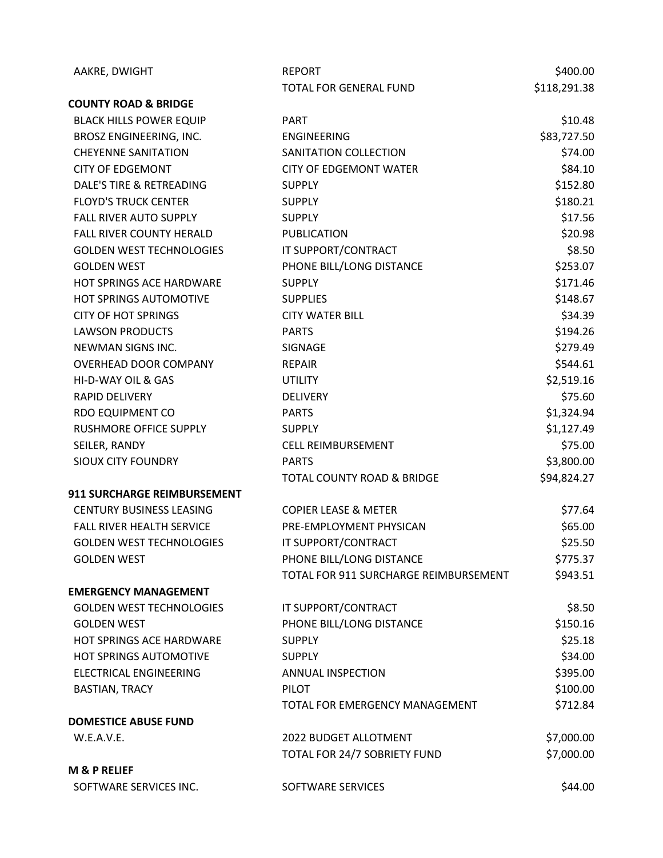| AAKRE, DWIGHT                   | <b>REPORT</b>                         | \$400.00     |
|---------------------------------|---------------------------------------|--------------|
|                                 | <b>TOTAL FOR GENERAL FUND</b>         | \$118,291.38 |
| <b>COUNTY ROAD &amp; BRIDGE</b> |                                       |              |
| <b>BLACK HILLS POWER EQUIP</b>  | <b>PART</b>                           | \$10.48      |
| BROSZ ENGINEERING, INC.         | <b>ENGINEERING</b>                    | \$83,727.50  |
| <b>CHEYENNE SANITATION</b>      | SANITATION COLLECTION                 | \$74.00      |
| <b>CITY OF EDGEMONT</b>         | <b>CITY OF EDGEMONT WATER</b>         | \$84.10      |
| DALE'S TIRE & RETREADING        | <b>SUPPLY</b>                         | \$152.80     |
| <b>FLOYD'S TRUCK CENTER</b>     | <b>SUPPLY</b>                         | \$180.21     |
| <b>FALL RIVER AUTO SUPPLY</b>   | <b>SUPPLY</b>                         | \$17.56      |
| <b>FALL RIVER COUNTY HERALD</b> | <b>PUBLICATION</b>                    | \$20.98      |
| <b>GOLDEN WEST TECHNOLOGIES</b> | IT SUPPORT/CONTRACT                   | \$8.50       |
| <b>GOLDEN WEST</b>              | PHONE BILL/LONG DISTANCE              | \$253.07     |
| HOT SPRINGS ACE HARDWARE        | <b>SUPPLY</b>                         | \$171.46     |
| HOT SPRINGS AUTOMOTIVE          | <b>SUPPLIES</b>                       | \$148.67     |
| <b>CITY OF HOT SPRINGS</b>      | <b>CITY WATER BILL</b>                | \$34.39      |
| <b>LAWSON PRODUCTS</b>          | <b>PARTS</b>                          | \$194.26     |
| NEWMAN SIGNS INC.               | <b>SIGNAGE</b>                        | \$279.49     |
| OVERHEAD DOOR COMPANY           | <b>REPAIR</b>                         | \$544.61     |
| HI-D-WAY OIL & GAS              | <b>UTILITY</b>                        | \$2,519.16   |
| RAPID DELIVERY                  | <b>DELIVERY</b>                       | \$75.60      |
| RDO EQUIPMENT CO                | <b>PARTS</b>                          | \$1,324.94   |
| RUSHMORE OFFICE SUPPLY          | <b>SUPPLY</b>                         | \$1,127.49   |
| SEILER, RANDY                   | <b>CELL REIMBURSEMENT</b>             | \$75.00      |
| <b>SIOUX CITY FOUNDRY</b>       | <b>PARTS</b>                          | \$3,800.00   |
|                                 | TOTAL COUNTY ROAD & BRIDGE            | \$94,824.27  |
| 911 SURCHARGE REIMBURSEMENT     |                                       |              |
| <b>CENTURY BUSINESS LEASING</b> | <b>COPIER LEASE &amp; METER</b>       | \$77.64      |
| FALL RIVER HEALTH SERVICE       | PRE-EMPLOYMENT PHYSICAN               | \$65.00      |
| <b>GOLDEN WEST TECHNOLOGIES</b> | IT SUPPORT/CONTRACT                   | \$25.50      |
| <b>GOLDEN WEST</b>              | PHONE BILL/LONG DISTANCE              | \$775.37     |
|                                 | TOTAL FOR 911 SURCHARGE REIMBURSEMENT | \$943.51     |
| <b>EMERGENCY MANAGEMENT</b>     |                                       |              |
| <b>GOLDEN WEST TECHNOLOGIES</b> | IT SUPPORT/CONTRACT                   | \$8.50       |
| <b>GOLDEN WEST</b>              | PHONE BILL/LONG DISTANCE              | \$150.16     |
| <b>HOT SPRINGS ACE HARDWARE</b> | <b>SUPPLY</b>                         | \$25.18      |
| HOT SPRINGS AUTOMOTIVE          | <b>SUPPLY</b>                         | \$34.00      |
| <b>ELECTRICAL ENGINEERING</b>   | ANNUAL INSPECTION                     | \$395.00     |
| <b>BASTIAN, TRACY</b>           | PILOT                                 | \$100.00     |
|                                 | TOTAL FOR EMERGENCY MANAGEMENT        | \$712.84     |
| <b>DOMESTICE ABUSE FUND</b>     |                                       |              |
| W.E.A.V.E.                      | 2022 BUDGET ALLOTMENT                 | \$7,000.00   |
|                                 | TOTAL FOR 24/7 SOBRIETY FUND          | \$7,000.00   |
| <b>M &amp; P RELIEF</b>         |                                       |              |
| SOFTWARE SERVICES INC.          | SOFTWARE SERVICES                     | \$44.00      |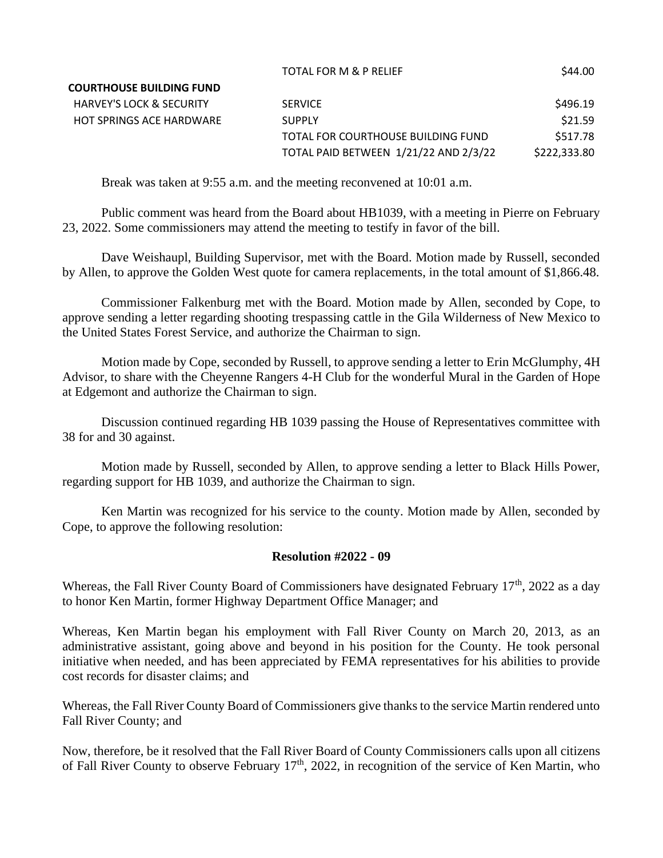|                                     |                                       | -            |
|-------------------------------------|---------------------------------------|--------------|
| <b>COURTHOUSE BUILDING FUND</b>     |                                       |              |
| <b>HARVEY'S LOCK &amp; SECURITY</b> | <b>SERVICE</b>                        | S496.19      |
| <b>HOT SPRINGS ACE HARDWARE</b>     | <b>SUPPLY</b>                         | \$21.59      |
|                                     | TOTAL FOR COURTHOUSE BUILDING FUND    | \$517.78     |
|                                     | TOTAL PAID BETWEEN 1/21/22 AND 2/3/22 | \$222,333.80 |
|                                     |                                       |              |

TOTAL FOR M & P RELIEF \$44.00

Break was taken at 9:55 a.m. and the meeting reconvened at 10:01 a.m.

Public comment was heard from the Board about HB1039, with a meeting in Pierre on February 23, 2022. Some commissioners may attend the meeting to testify in favor of the bill.

Dave Weishaupl, Building Supervisor, met with the Board. Motion made by Russell, seconded by Allen, to approve the Golden West quote for camera replacements, in the total amount of \$1,866.48.

Commissioner Falkenburg met with the Board. Motion made by Allen, seconded by Cope, to approve sending a letter regarding shooting trespassing cattle in the Gila Wilderness of New Mexico to the United States Forest Service, and authorize the Chairman to sign.

Motion made by Cope, seconded by Russell, to approve sending a letter to Erin McGlumphy, 4H Advisor, to share with the Cheyenne Rangers 4-H Club for the wonderful Mural in the Garden of Hope at Edgemont and authorize the Chairman to sign.

Discussion continued regarding HB 1039 passing the House of Representatives committee with 38 for and 30 against.

Motion made by Russell, seconded by Allen, to approve sending a letter to Black Hills Power, regarding support for HB 1039, and authorize the Chairman to sign.

Ken Martin was recognized for his service to the county. Motion made by Allen, seconded by Cope, to approve the following resolution:

# **Resolution #2022 - 09**

Whereas, the Fall River County Board of Commissioners have designated February  $17<sup>th</sup>$ , 2022 as a day to honor Ken Martin, former Highway Department Office Manager; and

Whereas, Ken Martin began his employment with Fall River County on March 20, 2013, as an administrative assistant, going above and beyond in his position for the County. He took personal initiative when needed, and has been appreciated by FEMA representatives for his abilities to provide cost records for disaster claims; and

Whereas, the Fall River County Board of Commissioners give thanks to the service Martin rendered unto Fall River County; and

Now, therefore, be it resolved that the Fall River Board of County Commissioners calls upon all citizens of Fall River County to observe February  $17<sup>th</sup>$ , 2022, in recognition of the service of Ken Martin, who